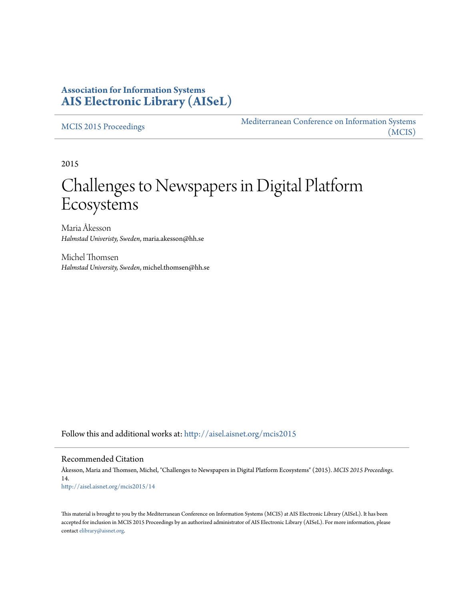#### **Association for Information Systems [AIS Electronic Library \(AISeL\)](http://aisel.aisnet.org?utm_source=aisel.aisnet.org%2Fmcis2015%2F14&utm_medium=PDF&utm_campaign=PDFCoverPages)**

[MCIS 2015 Proceedings](http://aisel.aisnet.org/mcis2015?utm_source=aisel.aisnet.org%2Fmcis2015%2F14&utm_medium=PDF&utm_campaign=PDFCoverPages)

[Mediterranean Conference on Information Systems](http://aisel.aisnet.org/mcis?utm_source=aisel.aisnet.org%2Fmcis2015%2F14&utm_medium=PDF&utm_campaign=PDFCoverPages) [\(MCIS\)](http://aisel.aisnet.org/mcis?utm_source=aisel.aisnet.org%2Fmcis2015%2F14&utm_medium=PDF&utm_campaign=PDFCoverPages)

2015

# Challenges to Newspapers in Digital Platform Ecosystems

Maria Åkesson *Halmstad Univeristy, Sweden*, maria.akesson@hh.se

Michel Thomsen *Halmstad University, Sweden*, michel.thomsen@hh.se

Follow this and additional works at: [http://aisel.aisnet.org/mcis2015](http://aisel.aisnet.org/mcis2015?utm_source=aisel.aisnet.org%2Fmcis2015%2F14&utm_medium=PDF&utm_campaign=PDFCoverPages)

#### Recommended Citation

Åkesson, Maria and Thomsen, Michel, "Challenges to Newspapers in Digital Platform Ecosystems" (2015). *MCIS 2015 Proceedings*. 14. [http://aisel.aisnet.org/mcis2015/14](http://aisel.aisnet.org/mcis2015/14?utm_source=aisel.aisnet.org%2Fmcis2015%2F14&utm_medium=PDF&utm_campaign=PDFCoverPages)

This material is brought to you by the Mediterranean Conference on Information Systems (MCIS) at AIS Electronic Library (AISeL). It has been accepted for inclusion in MCIS 2015 Proceedings by an authorized administrator of AIS Electronic Library (AISeL). For more information, please contact [elibrary@aisnet.org.](mailto:elibrary@aisnet.org%3E)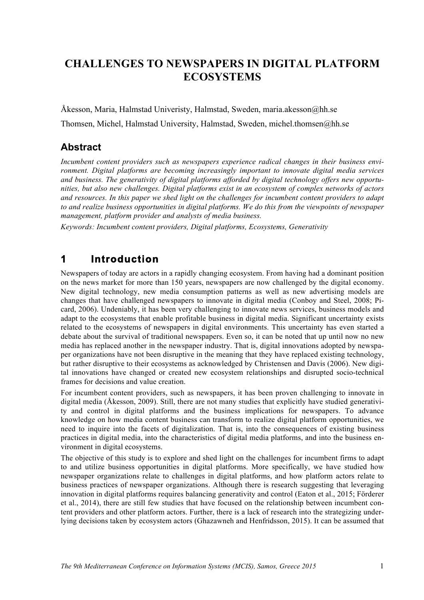### **CHALLENGES TO NEWSPAPERS IN DIGITAL PLATFORM ECOSYSTEMS**

Åkesson, Maria, Halmstad Univeristy, Halmstad, Sweden, maria.akesson@hh.se Thomsen, Michel, Halmstad University, Halmstad, Sweden, michel.thomsen@hh.se

#### **Abstract**

*Incumbent content providers such as newspapers experience radical changes in their business environment. Digital platforms are becoming increasingly important to innovate digital media services and business. The generativity of digital platforms afforded by digital technology offers new opportunities, but also new challenges. Digital platforms exist in an ecosystem of complex networks of actors and resources. In this paper we shed light on the challenges for incumbent content providers to adapt to and realize business opportunities in digital platforms. We do this from the viewpoints of newspaper management, platform provider and analysts of media business.*

*Keywords: Incumbent content providers, Digital platforms, Ecosystems, Generativity*

### **1 Introduction**

Newspapers of today are actors in a rapidly changing ecosystem. From having had a dominant position on the news market for more than 150 years, newspapers are now challenged by the digital economy. New digital technology, new media consumption patterns as well as new advertising models are changes that have challenged newspapers to innovate in digital media (Conboy and Steel, 2008; Picard, 2006). Undeniably, it has been very challenging to innovate news services, business models and adapt to the ecosystems that enable profitable business in digital media. Significant uncertainty exists related to the ecosystems of newspapers in digital environments. This uncertainty has even started a debate about the survival of traditional newspapers. Even so, it can be noted that up until now no new media has replaced another in the newspaper industry. That is, digital innovations adopted by newspaper organizations have not been disruptive in the meaning that they have replaced existing technology, but rather disruptive to their ecosystems as acknowledged by Christensen and Davis (2006). New digital innovations have changed or created new ecosystem relationships and disrupted socio-technical frames for decisions and value creation.

For incumbent content providers, such as newspapers, it has been proven challenging to innovate in digital media (Åkesson, 2009). Still, there are not many studies that explicitly have studied generativity and control in digital platforms and the business implications for newspapers. To advance knowledge on how media content business can transform to realize digital platform opportunities, we need to inquire into the facets of digitalization. That is, into the consequences of existing business practices in digital media, into the characteristics of digital media platforms, and into the business environment in digital ecosystems.

The objective of this study is to explore and shed light on the challenges for incumbent firms to adapt to and utilize business opportunities in digital platforms. More specifically, we have studied how newspaper organizations relate to challenges in digital platforms, and how platform actors relate to business practices of newspaper organizations. Although there is research suggesting that leveraging innovation in digital platforms requires balancing generativity and control (Eaton et al., 2015; Förderer et al., 2014), there are still few studies that have focused on the relationship between incumbent content providers and other platform actors. Further, there is a lack of research into the strategizing underlying decisions taken by ecosystem actors (Ghazawneh and Henfridsson, 2015). It can be assumed that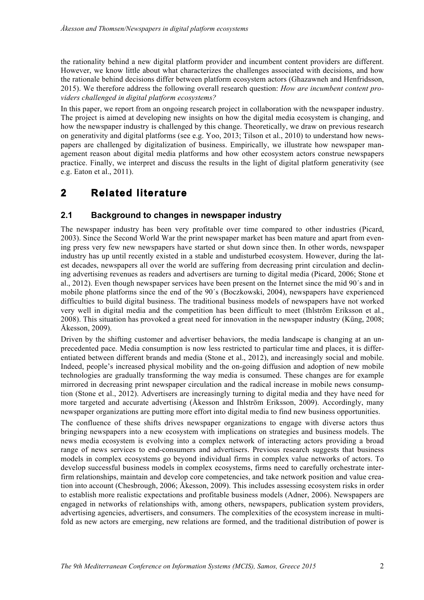the rationality behind a new digital platform provider and incumbent content providers are different. However, we know little about what characterizes the challenges associated with decisions, and how the rationale behind decisions differ between platform ecosystem actors (Ghazawneh and Henfridsson, 2015). We therefore address the following overall research question: *How are incumbent content providers challenged in digital platform ecosystems?*

In this paper, we report from an ongoing research project in collaboration with the newspaper industry. The project is aimed at developing new insights on how the digital media ecosystem is changing, and how the newspaper industry is challenged by this change. Theoretically, we draw on previous research on generativity and digital platforms (see e.g. Yoo, 2013; Tilson et al., 2010) to understand how newspapers are challenged by digitalization of business. Empirically, we illustrate how newspaper management reason about digital media platforms and how other ecosystem actors construe newspapers practice. Finally, we interpret and discuss the results in the light of digital platform generativity (see e.g. Eaton et al., 2011).

### **2 Related literature**

#### **2.1 Background to changes in newspaper industry**

The newspaper industry has been very profitable over time compared to other industries (Picard, 2003). Since the Second World War the print newspaper market has been mature and apart from evening press very few new newspapers have started or shut down since then. In other words, newspaper industry has up until recently existed in a stable and undisturbed ecosystem. However, during the latest decades, newspapers all over the world are suffering from decreasing print circulation and declining advertising revenues as readers and advertisers are turning to digital media (Picard, 2006; Stone et al., 2012). Even though newspaper services have been present on the Internet since the mid 90´s and in mobile phone platforms since the end of the 90´s (Boczkowski, 2004), newspapers have experienced difficulties to build digital business. The traditional business models of newspapers have not worked very well in digital media and the competition has been difficult to meet (Ihlström Eriksson et al., 2008). This situation has provoked a great need for innovation in the newspaper industry (Küng, 2008; Åkesson, 2009).

Driven by the shifting customer and advertiser behaviors, the media landscape is changing at an unprecedented pace. Media consumption is now less restricted to particular time and places, it is differentiated between different brands and media (Stone et al., 2012), and increasingly social and mobile. Indeed, people's increased physical mobility and the on-going diffusion and adoption of new mobile technologies are gradually transforming the way media is consumed. These changes are for example mirrored in decreasing print newspaper circulation and the radical increase in mobile news consumption (Stone et al., 2012). Advertisers are increasingly turning to digital media and they have need for more targeted and accurate advertising (Åkesson and Ihlström Eriksson, 2009). Accordingly, many newspaper organizations are putting more effort into digital media to find new business opportunities.

The confluence of these shifts drives newspaper organizations to engage with diverse actors thus bringing newspapers into a new ecosystem with implications on strategies and business models. The news media ecosystem is evolving into a complex network of interacting actors providing a broad range of news services to end-consumers and advertisers. Previous research suggests that business models in complex ecosystems go beyond individual firms in complex value networks of actors. To develop successful business models in complex ecosystems, firms need to carefully orchestrate interfirm relationships, maintain and develop core competencies, and take network position and value creation into account (Chesbrough, 2006; Åkesson, 2009). This includes assessing ecosystem risks in order to establish more realistic expectations and profitable business models (Adner, 2006). Newspapers are engaged in networks of relationships with, among others, newspapers, publication system providers, advertising agencies, advertisers, and consumers. The complexities of the ecosystem increase in multifold as new actors are emerging, new relations are formed, and the traditional distribution of power is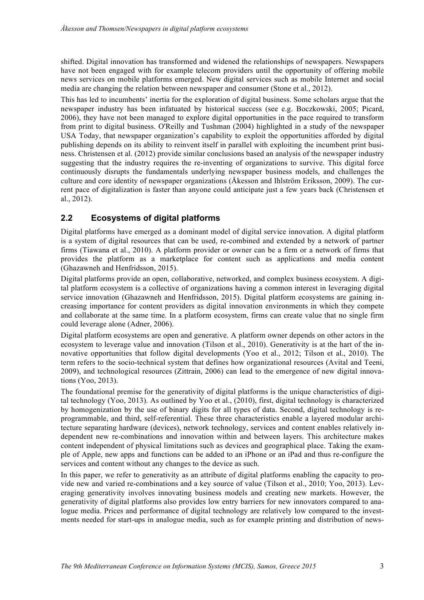shifted. Digital innovation has transformed and widened the relationships of newspapers. Newspapers have not been engaged with for example telecom providers until the opportunity of offering mobile news services on mobile platforms emerged. New digital services such as mobile Internet and social media are changing the relation between newspaper and consumer (Stone et al., 2012).

This has led to incumbents' inertia for the exploration of digital business. Some scholars argue that the newspaper industry has been infatuated by historical success (see e.g. Boczkowski, 2005; Picard, 2006), they have not been managed to explore digital opportunities in the pace required to transform from print to digital business. O'Reilly and Tushman (2004) highlighted in a study of the newspaper USA Today, that newspaper organization's capability to exploit the opportunities afforded by digital publishing depends on its ability to reinvent itself in parallel with exploiting the incumbent print business. Christensen et al. (2012) provide similar conclusions based an analysis of the newspaper industry suggesting that the industry requires the re-inventing of organizations to survive. This digital force continuously disrupts the fundamentals underlying newspaper business models, and challenges the culture and core identity of newspaper organizations (Åkesson and Ihlström Eriksson, 2009). The current pace of digitalization is faster than anyone could anticipate just a few years back (Christensen et al., 2012).

#### **2.2 Ecosystems of digital platforms**

Digital platforms have emerged as a dominant model of digital service innovation. A digital platform is a system of digital resources that can be used, re-combined and extended by a network of partner firms (Tiawana et al., 2010). A platform provider or owner can be a firm or a network of firms that provides the platform as a marketplace for content such as applications and media content (Ghazawneh and Henfridsson, 2015).

Digital platforms provide an open, collaborative, networked, and complex business ecosystem. A digital platform ecosystem is a collective of organizations having a common interest in leveraging digital service innovation (Ghazawneh and Henfridsson, 2015). Digital platform ecosystems are gaining increasing importance for content providers as digital innovation environments in which they compete and collaborate at the same time. In a platform ecosystem, firms can create value that no single firm could leverage alone (Adner, 2006).

Digital platform ecosystems are open and generative. A platform owner depends on other actors in the ecosystem to leverage value and innovation (Tilson et al., 2010). Generativity is at the hart of the innovative opportunities that follow digital developments (Yoo et al., 2012; Tilson et al., 2010). The term refers to the socio-technical system that defines how organizational resources (Avital and Teeni, 2009), and technological resources (Zittrain, 2006) can lead to the emergence of new digital innovations (Yoo, 2013).

The foundational premise for the generativity of digital platforms is the unique characteristics of digital technology (Yoo, 2013). As outlined by Yoo et al., (2010), first, digital technology is characterized by homogenization by the use of binary digits for all types of data. Second, digital technology is reprogrammable, and third, self-referential. These three characteristics enable a layered modular architecture separating hardware (devices), network technology, services and content enables relatively independent new re-combinations and innovation within and between layers. This architecture makes content independent of physical limitations such as devices and geographical place. Taking the example of Apple, new apps and functions can be added to an iPhone or an iPad and thus re-configure the services and content without any changes to the device as such.

In this paper, we refer to generativity as an attribute of digital platforms enabling the capacity to provide new and varied re-combinations and a key source of value (Tilson et al., 2010; Yoo, 2013). Leveraging generativity involves innovating business models and creating new markets. However, the generativity of digital platforms also provides low entry barriers for new innovators compared to analogue media. Prices and performance of digital technology are relatively low compared to the investments needed for start-ups in analogue media, such as for example printing and distribution of news-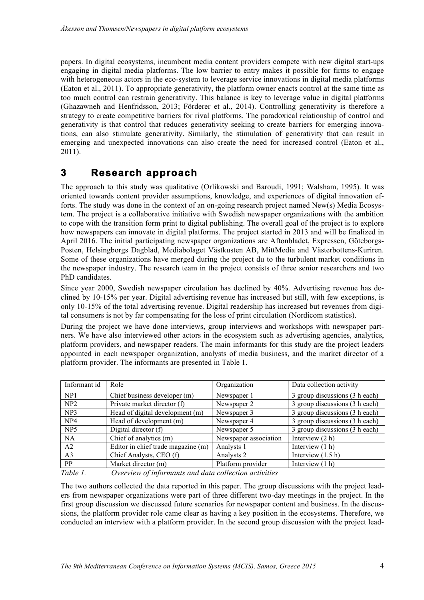papers. In digital ecosystems, incumbent media content providers compete with new digital start-ups engaging in digital media platforms. The low barrier to entry makes it possible for firms to engage with heterogeneous actors in the eco-system to leverage service innovations in digital media platforms (Eaton et al., 2011). To appropriate generativity, the platform owner enacts control at the same time as too much control can restrain generativity. This balance is key to leverage value in digital platforms (Ghazawneh and Henfridsson, 2013; Förderer et al., 2014). Controlling generativity is therefore a strategy to create competitive barriers for rival platforms. The paradoxical relationship of control and generativity is that control that reduces generativity seeking to create barriers for emerging innovations, can also stimulate generativity. Similarly, the stimulation of generativity that can result in emerging and unexpected innovations can also create the need for increased control (Eaton et al., 2011).

### **3 Research approach**

The approach to this study was qualitative (Orlikowski and Baroudi, 1991; Walsham, 1995). It was oriented towards content provider assumptions, knowledge, and experiences of digital innovation efforts. The study was done in the context of an on-going research project named New(s) Media Ecosystem. The project is a collaborative initiative with Swedish newspaper organizations with the ambition to cope with the transition form print to digital publishing. The overall goal of the project is to explore how newspapers can innovate in digital platforms. The project started in 2013 and will be finalized in April 2016. The initial participating newspaper organizations are Aftonbladet, Expressen, Göteborgs-Posten, Helsingborgs Dagblad, Mediabolaget Västkusten AB, MittMedia and Västerbottens-Kuriren. Some of these organizations have merged during the project du to the turbulent market conditions in the newspaper industry. The research team in the project consists of three senior researchers and two PhD candidates.

Since year 2000, Swedish newspaper circulation has declined by 40%. Advertising revenue has declined by 10-15% per year. Digital advertising revenue has increased but still, with few exceptions, is only 10-15% of the total advertising revenue. Digital readership has increased but revenues from digital consumers is not by far compensating for the loss of print circulation (Nordicom statistics).

During the project we have done interviews, group interviews and workshops with newspaper partners. We have also interviewed other actors in the ecosystem such as advertising agencies, analytics, platform providers, and newspaper readers. The main informants for this study are the project leaders appointed in each newspaper organization, analysts of media business, and the market director of a platform provider. The informants are presented in Table 1.

| Informant id    | Role                               | Organization          | Data collection activity       |
|-----------------|------------------------------------|-----------------------|--------------------------------|
| NP1             | Chief business developer (m)       | Newspaper 1           | 3 group discussions (3 h each) |
| NP2             | Private market director (f)        | Newspaper 2           | 3 group discussions (3 h each) |
| NP3             | Head of digital development (m)    | Newspaper 3           | 3 group discussions (3 h each) |
| NP <sub>4</sub> | Head of development (m)            | Newspaper 4           | 3 group discussions (3 h each) |
| NP <sub>5</sub> | Digital director (f)               | Newspaper 5           | 3 group discussions (3 h each) |
| <b>NA</b>       | Chief of analytics (m)             | Newspaper association | Interview $(2 h)$              |
| A <sub>2</sub>  | Editor in chief trade magazine (m) | Analysts 1            | Interview $(1 h)$              |
| A <sub>3</sub>  | Chief Analysts, CEO (f)            | Analysts 2            | Interview $(1.5 h)$            |
| <b>PP</b>       | Market director (m)                | Platform provider     | Interview $(1 h)$              |

*Table 1. Overview of informants and data collection activities*

The two authors collected the data reported in this paper. The group discussions with the project leaders from newspaper organizations were part of three different two-day meetings in the project. In the first group discussion we discussed future scenarios for newspaper content and business. In the discussions, the platform provider role came clear as having a key position in the ecosystems. Therefore, we conducted an interview with a platform provider. In the second group discussion with the project lead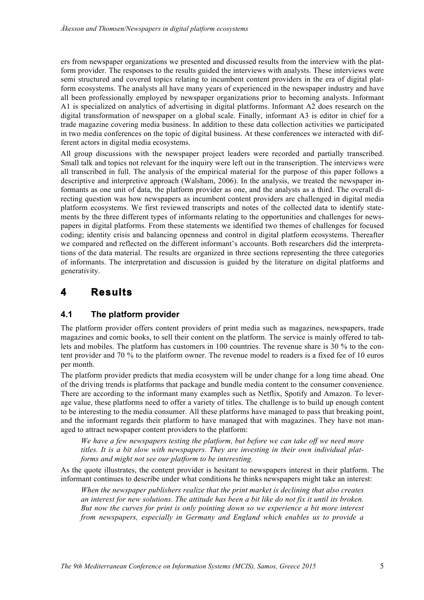ers from newspaper organizations we presented and discussed results from the interview with the platform provider. The responses to the results guided the interviews with analysts. These interviews were semi structured and covered topics relating to incumbent content providers in the era of digital platform ecosystems. The analysts all have many years of experienced in the newspaper industry and have all been professionally employed by newspaper organizations prior to becoming analysts. Informant A1 is specialized on analytics of advertising in digital platforms. Informant A2 does research on the digital transformation of newspaper on a global scale. Finally, informant A3 is editor in chief for a trade magazine covering media business. In addition to these data collection activities we participated in two media conferences on the topic of digital business. At these conferences we interacted with different actors in digital media ecosystems.

All group discussions with the newspaper project leaders were recorded and partially transcribed. Small talk and topics not relevant for the inquiry were left out in the transcription. The interviews were all transcribed in full. The analysis of the empirical material for the purpose of this paper follows a descriptive and interpretive approach (Walsham, 2006). In the analysis, we treated the newspaper informants as one unit of data, the platform provider as one, and the analysts as a third. The overall directing question was how newspapers as incumbent content providers are challenged in digital media platform ecosystems. We first reviewed transcripts and notes of the collected data to identify statements by the three different types of informants relating to the opportunities and challenges for newspapers in digital platforms. From these statements we identified two themes of challenges for focused coding; identity crisis and balancing openness and control in digital platform ecosystems. Thereafter we compared and reflected on the different informant's accounts. Both researchers did the interpretations of the data material. The results are organized in three sections representing the three categories of informants. The interpretation and discussion is guided by the literature on digital platforms and generativity.

### **4 Results**

#### **4.1 The platform provider**

The platform provider offers content providers of print media such as magazines, newspapers, trade magazines and comic books, to sell their content on the platform. The service is mainly offered to tablets and mobiles. The platform has customers in 100 countries. The revenue share is 30 % to the content provider and 70 % to the platform owner. The revenue model to readers is a fixed fee of 10 euros per month.

The platform provider predicts that media ecosystem will be under change for a long time ahead. One of the driving trends is platforms that package and bundle media content to the consumer convenience. There are according to the informant many examples such as Netflix, Spotify and Amazon. To leverage value, these platforms need to offer a variety of titles. The challenge is to build up enough content to be interesting to the media consumer. All these platforms have managed to pass that breaking point, and the informant regards their platform to have managed that with magazines. They have not managed to attract newspaper content providers to the platform:

*We have a few newspapers testing the platform, but before we can take off we need more titles. It is a bit slow with newspapers. They are investing in their own individual platforms and might not see our platform to be interesting.* 

As the quote illustrates, the content provider is hesitant to newspapers interest in their platform. The informant continues to describe under what conditions he thinks newspapers might take an interest:

*When the newspaper publishers realize that the print market is declining that also creates an interest for new solutions. The attitude has been a bit like do not fix it until its broken. But now the curves for print is only pointing down so we experience a bit more interest from newspapers, especially in Germany and England which enables us to provide a*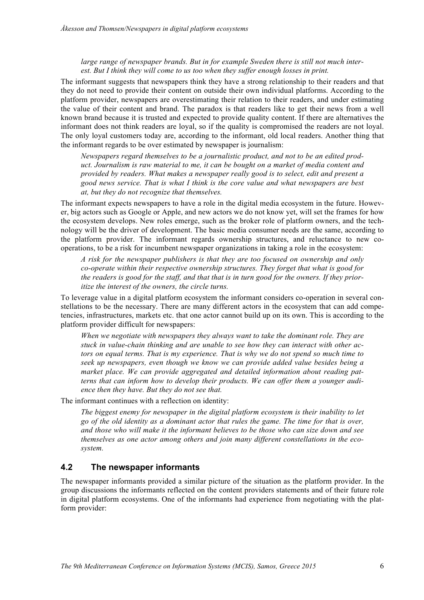*large range of newspaper brands. But in for example Sweden there is still not much interest. But I think they will come to us too when they suffer enough losses in print.* 

The informant suggests that newspapers think they have a strong relationship to their readers and that they do not need to provide their content on outside their own individual platforms. According to the platform provider, newspapers are overestimating their relation to their readers, and under estimating the value of their content and brand. The paradox is that readers like to get their news from a well known brand because it is trusted and expected to provide quality content. If there are alternatives the informant does not think readers are loyal, so if the quality is compromised the readers are not loyal. The only loyal customers today are, according to the informant, old local readers. Another thing that the informant regards to be over estimated by newspaper is journalism:

*Newspapers regard themselves to be a journalistic product, and not to be an edited product. Journalism is raw material to me, it can be bought on a market of media content and provided by readers. What makes a newspaper really good is to select, edit and present a good news service. That is what I think is the core value and what newspapers are best at, but they do not recognize that themselves.* 

The informant expects newspapers to have a role in the digital media ecosystem in the future. However, big actors such as Google or Apple, and new actors we do not know yet, will set the frames for how the ecosystem develops. New roles emerge, such as the broker role of platform owners, and the technology will be the driver of development. The basic media consumer needs are the same, according to the platform provider. The informant regards ownership structures, and reluctance to new cooperations, to be a risk for incumbent newspaper organizations in taking a role in the ecosystem:

*A risk for the newspaper publishers is that they are too focused on ownership and only co-operate within their respective ownership structures. They forget that what is good for the readers is good for the staff, and that that is in turn good for the owners. If they prioritize the interest of the owners, the circle turns.* 

To leverage value in a digital platform ecosystem the informant considers co-operation in several constellations to be the necessary. There are many different actors in the ecosystem that can add competencies, infrastructures, markets etc. that one actor cannot build up on its own. This is according to the platform provider difficult for newspapers:

*When we negotiate with newspapers they always want to take the dominant role. They are stuck in value-chain thinking and are unable to see how they can interact with other actors on equal terms. That is my experience. That is why we do not spend so much time to seek up newspapers, even though we know we can provide added value besides being a market place. We can provide aggregated and detailed information about reading patterns that can inform how to develop their products. We can offer them a younger audience then they have. But they do not see that.* 

The informant continues with a reflection on identity:

*The biggest enemy for newspaper in the digital platform ecosystem is their inability to let go of the old identity as a dominant actor that rules the game. The time for that is over, and those who will make it the informant believes to be those who can size down and see themselves as one actor among others and join many different constellations in the ecosystem.*

#### **4.2 The newspaper informants**

The newspaper informants provided a similar picture of the situation as the platform provider. In the group discussions the informants reflected on the content providers statements and of their future role in digital platform ecosystems. One of the informants had experience from negotiating with the platform provider: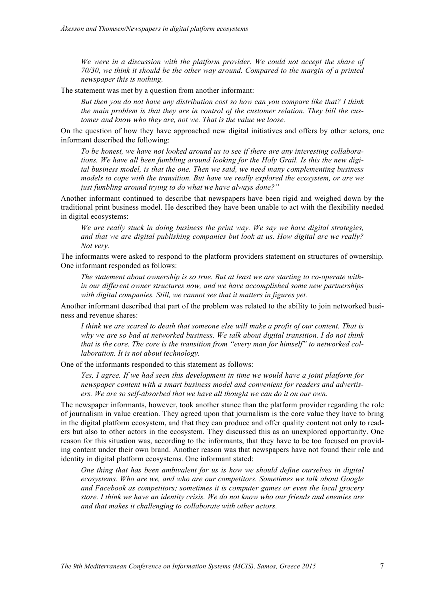*We were in a discussion with the platform provider. We could not accept the share of 70/30, we think it should be the other way around. Compared to the margin of a printed newspaper this is nothing.*

The statement was met by a question from another informant:

*But then you do not have any distribution cost so how can you compare like that? I think the main problem is that they are in control of the customer relation. They bill the customer and know who they are, not we. That is the value we loose.* 

On the question of how they have approached new digital initiatives and offers by other actors, one informant described the following:

*To be honest, we have not looked around us to see if there are any interesting collaborations. We have all been fumbling around looking for the Holy Grail. Is this the new digital business model, is that the one. Then we said, we need many complementing business models to cope with the transition. But have we really explored the ecosystem, or are we just fumbling around trying to do what we have always done?"*

Another informant continued to describe that newspapers have been rigid and weighed down by the traditional print business model. He described they have been unable to act with the flexibility needed in digital ecosystems:

*We are really stuck in doing business the print way. We say we have digital strategies, and that we are digital publishing companies but look at us. How digital are we really? Not very.*

The informants were asked to respond to the platform providers statement on structures of ownership. One informant responded as follows:

*The statement about ownership is so true. But at least we are starting to co-operate within our different owner structures now, and we have accomplished some new partnerships with digital companies. Still, we cannot see that it matters in figures yet.*

Another informant described that part of the problem was related to the ability to join networked business and revenue shares:

*I think we are scared to death that someone else will make a profit of our content. That is why we are so bad at networked business. We talk about digital transition. I do not think that is the core. The core is the transition from "every man for himself" to networked collaboration. It is not about technology.*

One of the informants responded to this statement as follows:

*Yes, I agree. If we had seen this development in time we would have a joint platform for newspaper content with a smart business model and convenient for readers and advertisers. We are so self-absorbed that we have all thought we can do it on our own.* 

The newspaper informants, however, took another stance than the platform provider regarding the role of journalism in value creation. They agreed upon that journalism is the core value they have to bring in the digital platform ecosystem, and that they can produce and offer quality content not only to readers but also to other actors in the ecosystem. They discussed this as an unexplored opportunity. One reason for this situation was, according to the informants, that they have to be too focused on providing content under their own brand. Another reason was that newspapers have not found their role and identity in digital platform ecosystems. One informant stated:

*One thing that has been ambivalent for us is how we should define ourselves in digital ecosystems. Who are we, and who are our competitors. Sometimes we talk about Google and Facebook as competitors; sometimes it is computer games or even the local grocery store. I think we have an identity crisis. We do not know who our friends and enemies are and that makes it challenging to collaborate with other actors.*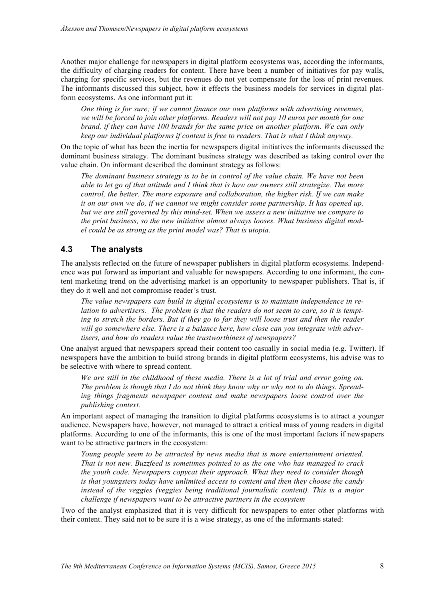Another major challenge for newspapers in digital platform ecosystems was, according the informants, the difficulty of charging readers for content. There have been a number of initiatives for pay walls, charging for specific services, but the revenues do not yet compensate for the loss of print revenues. The informants discussed this subject, how it effects the business models for services in digital platform ecosystems. As one informant put it:

*One thing is for sure; if we cannot finance our own platforms with advertising revenues, we will be forced to join other platforms. Readers will not pay 10 euros per month for one brand, if they can have 100 brands for the same price on another platform. We can only keep our individual platforms if content is free to readers. That is what I think anyway.*

On the topic of what has been the inertia for newspapers digital initiatives the informants discussed the dominant business strategy. The dominant business strategy was described as taking control over the value chain. On informant described the dominant strategy as follows:

*The dominant business strategy is to be in control of the value chain. We have not been able to let go of that attitude and I think that is how our owners still strategize. The more control, the better. The more exposure and collaboration, the higher risk. If we can make it on our own we do, if we cannot we might consider some partnership. It has opened up, but we are still governed by this mind-set. When we assess a new initiative we compare to the print business, so the new initiative almost always looses. What business digital model could be as strong as the print model was? That is utopia.*

#### **4.3 The analysts**

The analysts reflected on the future of newspaper publishers in digital platform ecosystems. Independence was put forward as important and valuable for newspapers. According to one informant, the content marketing trend on the advertising market is an opportunity to newspaper publishers. That is, if they do it well and not compromise reader's trust.

*The value newspapers can build in digital ecosystems is to maintain independence in relation to advertisers. The problem is that the readers do not seem to care, so it is tempting to stretch the borders. But if they go to far they will loose trust and then the reader will go somewhere else. There is a balance here, how close can you integrate with advertisers, and how do readers value the trustworthiness of newspapers?* 

One analyst argued that newspapers spread their content too casually in social media (e.g. Twitter). If newspapers have the ambition to build strong brands in digital platform ecosystems, his advise was to be selective with where to spread content.

*We are still in the childhood of these media. There is a lot of trial and error going on. The problem is though that I do not think they know why or why not to do things. Spreading things fragments newspaper content and make newspapers loose control over the publishing context.*

An important aspect of managing the transition to digital platforms ecosystems is to attract a younger audience. Newspapers have, however, not managed to attract a critical mass of young readers in digital platforms. According to one of the informants, this is one of the most important factors if newspapers want to be attractive partners in the ecosystem:

*Young people seem to be attracted by news media that is more entertainment oriented. That is not new. Buzzfeed is sometimes pointed to as the one who has managed to crack the youth code. Newspapers copycat their approach. What they need to consider though is that youngsters today have unlimited access to content and then they choose the candy instead of the veggies (veggies being traditional journalistic content). This is a major challenge if newspapers want to be attractive partners in the ecosystem*

Two of the analyst emphasized that it is very difficult for newspapers to enter other platforms with their content. They said not to be sure it is a wise strategy, as one of the informants stated: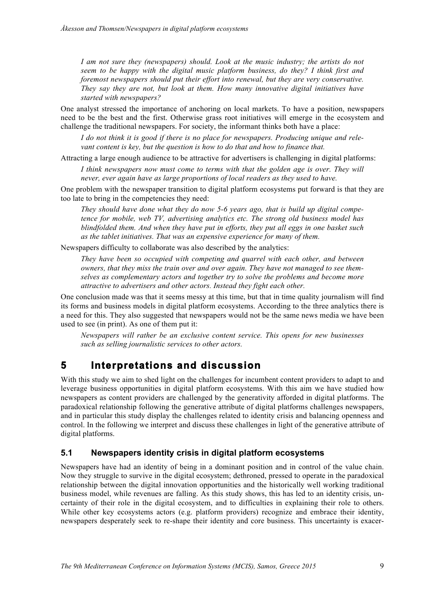*I am not sure they (newspapers) should. Look at the music industry; the artists do not seem to be happy with the digital music platform business, do they? I think first and foremost newspapers should put their effort into renewal, but they are very conservative. They say they are not, but look at them. How many innovative digital initiatives have started with newspapers?*

One analyst stressed the importance of anchoring on local markets. To have a position, newspapers need to be the best and the first. Otherwise grass root initiatives will emerge in the ecosystem and challenge the traditional newspapers. For society, the informant thinks both have a place:

*I do not think it is good if there is no place for newspapers. Producing unique and relevant content is key, but the question is how to do that and how to finance that.* 

Attracting a large enough audience to be attractive for advertisers is challenging in digital platforms:

*I think newspapers now must come to terms with that the golden age is over. They will never, ever again have as large proportions of local readers as they used to have.*

One problem with the newspaper transition to digital platform ecosystems put forward is that they are too late to bring in the competencies they need:

*They should have done what they do now 5-6 years ago, that is build up digital competence for mobile, web TV, advertising analytics etc. The strong old business model has blindfolded them. And when they have put in efforts, they put all eggs in one basket such as the tablet initiatives. That was an expensive experience for many of them.* 

Newspapers difficulty to collaborate was also described by the analytics:

*They have been so occupied with competing and quarrel with each other, and between owners, that they miss the train over and over again. They have not managed to see themselves as complementary actors and together try to solve the problems and become more attractive to advertisers and other actors. Instead they fight each other.* 

One conclusion made was that it seems messy at this time, but that in time quality journalism will find its forms and business models in digital platform ecosystems. According to the three analytics there is a need for this. They also suggested that newspapers would not be the same news media we have been used to see (in print). As one of them put it:

*Newspapers will rather be an exclusive content service. This opens for new businesses such as selling journalistic services to other actors.* 

### **5 Interpretations and discussion**

With this study we aim to shed light on the challenges for incumbent content providers to adapt to and leverage business opportunities in digital platform ecosystems. With this aim we have studied how newspapers as content providers are challenged by the generativity afforded in digital platforms. The paradoxical relationship following the generative attribute of digital platforms challenges newspapers, and in particular this study display the challenges related to identity crisis and balancing openness and control. In the following we interpret and discuss these challenges in light of the generative attribute of digital platforms.

#### **5.1 Newspapers identity crisis in digital platform ecosystems**

Newspapers have had an identity of being in a dominant position and in control of the value chain. Now they struggle to survive in the digital ecosystem; dethroned, pressed to operate in the paradoxical relationship between the digital innovation opportunities and the historically well working traditional business model, while revenues are falling. As this study shows, this has led to an identity crisis, uncertainty of their role in the digital ecosystem, and to difficulties in explaining their role to others. While other key ecosystems actors (e.g. platform providers) recognize and embrace their identity, newspapers desperately seek to re-shape their identity and core business. This uncertainty is exacer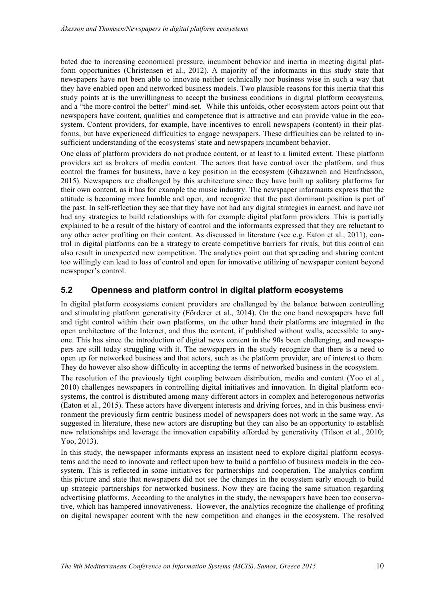bated due to increasing economical pressure, incumbent behavior and inertia in meeting digital platform opportunities (Christensen et al., 2012). A majority of the informants in this study state that newspapers have not been able to innovate neither technically nor business wise in such a way that they have enabled open and networked business models. Two plausible reasons for this inertia that this study points at is the unwillingness to accept the business conditions in digital platform ecosystems, and a "the more control the better" mind-set. While this unfolds, other ecosystem actors point out that newspapers have content, qualities and competence that is attractive and can provide value in the ecosystem. Content providers, for example, have incentives to enroll newspapers (content) in their platforms, but have experienced difficulties to engage newspapers. These difficulties can be related to insufficient understanding of the ecosystems' state and newspapers incumbent behavior.

One class of platform providers do not produce content, or at least to a limited extent. These platform providers act as brokers of media content. The actors that have control over the platform, and thus control the frames for business, have a key position in the ecosystem (Ghazawneh and Henfridsson, 2015). Newspapers are challenged by this architecture since they have built up solitary platforms for their own content, as it has for example the music industry. The newspaper informants express that the attitude is becoming more humble and open, and recognize that the past dominant position is part of the past. In self-reflection they see that they have not had any digital strategies in earnest, and have not had any strategies to build relationships with for example digital platform providers. This is partially explained to be a result of the history of control and the informants expressed that they are reluctant to any other actor profiting on their content. As discussed in literature (see e.g. Eaton et al., 2011), control in digital platforms can be a strategy to create competitive barriers for rivals, but this control can also result in unexpected new competition. The analytics point out that spreading and sharing content too willingly can lead to loss of control and open for innovative utilizing of newspaper content beyond newspaper's control.

#### **5.2 Openness and platform control in digital platform ecosystems**

In digital platform ecosystems content providers are challenged by the balance between controlling and stimulating platform generativity (Förderer et al., 2014). On the one hand newspapers have full and tight control within their own platforms, on the other hand their platforms are integrated in the open architecture of the Internet, and thus the content, if published without walls, accessible to anyone. This has since the introduction of digital news content in the 90s been challenging, and newspapers are still today struggling with it. The newspapers in the study recognize that there is a need to open up for networked business and that actors, such as the platform provider, are of interest to them. They do however also show difficulty in accepting the terms of networked business in the ecosystem.

The resolution of the previously tight coupling between distribution, media and content (Yoo et al., 2010) challenges newspapers in controlling digital initiatives and innovation. In digital platform ecosystems, the control is distributed among many different actors in complex and heterogonous networks (Eaton et al., 2015). These actors have divergent interests and driving forces, and in this business environment the previously firm centric business model of newspapers does not work in the same way. As suggested in literature, these new actors are disrupting but they can also be an opportunity to establish new relationships and leverage the innovation capability afforded by generativity (Tilson et al., 2010; Yoo, 2013).

In this study, the newspaper informants express an insistent need to explore digital platform ecosystems and the need to innovate and reflect upon how to build a portfolio of business models in the ecosystem. This is reflected in some initiatives for partnerships and cooperation. The analytics confirm this picture and state that newspapers did not see the changes in the ecosystem early enough to build up strategic partnerships for networked business. Now they are facing the same situation regarding advertising platforms. According to the analytics in the study, the newspapers have been too conservative, which has hampered innovativeness. However, the analytics recognize the challenge of profiting on digital newspaper content with the new competition and changes in the ecosystem. The resolved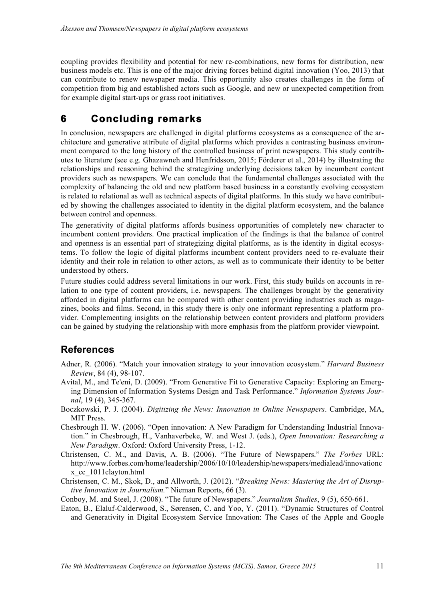coupling provides flexibility and potential for new re-combinations, new forms for distribution, new business models etc. This is one of the major driving forces behind digital innovation (Yoo, 2013) that can contribute to renew newspaper media. This opportunity also creates challenges in the form of competition from big and established actors such as Google, and new or unexpected competition from for example digital start-ups or grass root initiatives.

## **6 Concluding remarks**

In conclusion, newspapers are challenged in digital platforms ecosystems as a consequence of the architecture and generative attribute of digital platforms which provides a contrasting business environment compared to the long history of the controlled business of print newspapers. This study contributes to literature (see e.g. Ghazawneh and Henfridsson, 2015; Förderer et al., 2014) by illustrating the relationships and reasoning behind the strategizing underlying decisions taken by incumbent content providers such as newspapers. We can conclude that the fundamental challenges associated with the complexity of balancing the old and new platform based business in a constantly evolving ecosystem is related to relational as well as technical aspects of digital platforms. In this study we have contributed by showing the challenges associated to identity in the digital platform ecosystem, and the balance between control and openness.

The generativity of digital platforms affords business opportunities of completely new character to incumbent content providers. One practical implication of the findings is that the balance of control and openness is an essential part of strategizing digital platforms, as is the identity in digital ecosystems. To follow the logic of digital platforms incumbent content providers need to re-evaluate their identity and their role in relation to other actors, as well as to communicate their identity to be better understood by others.

Future studies could address several limitations in our work. First, this study builds on accounts in relation to one type of content providers, i.e. newspapers. The challenges brought by the generativity afforded in digital platforms can be compared with other content providing industries such as magazines, books and films. Second, in this study there is only one informant representing a platform provider. Complementing insights on the relationship between content providers and platform providers can be gained by studying the relationship with more emphasis from the platform provider viewpoint.

### **References**

- Adner, R. (2006). "Match your innovation strategy to your innovation ecosystem." *Harvard Business Review*, 84 (4), 98-107.
- Avital, M., and Te'eni, D. (2009). "From Generative Fit to Generative Capacity: Exploring an Emerging Dimension of Information Systems Design and Task Performance." *Information Systems Journal*, 19 (4), 345-367.
- Boczkowski, P. J. (2004). *Digitizing the News: Innovation in Online Newspapers*. Cambridge, MA, MIT Press.
- Chesbrough H. W. (2006). "Open innovation: A New Paradigm for Understanding Industrial Innovation." in Chesbrough, H., Vanhaverbeke, W. and West J. (eds.), *Open Innovation: Researching a New Paradigm*. Oxford: Oxford University Press, 1-12.
- Christensen, C. M., and Davis, A. B. (2006). "The Future of Newspapers." *The Forbes* URL: http://www.forbes.com/home/leadership/2006/10/10/leadership/newspapers/medialead/innovationc x\_cc\_1011clayton.html
- Christensen, C. M., Skok, D., and Allworth, J. (2012). "*Breaking News: Mastering the Art of Disruptive Innovation in Journalism.*" Nieman Reports, 66 (3).

Conboy, M. and Steel, J. (2008). "The future of Newspapers." *Journalism Studies*, 9 (5), 650-661.

Eaton, B., Elaluf-Calderwood, S., Sørensen, C. and Yoo, Y. (2011). "Dynamic Structures of Control and Generativity in Digital Ecosystem Service Innovation: The Cases of the Apple and Google